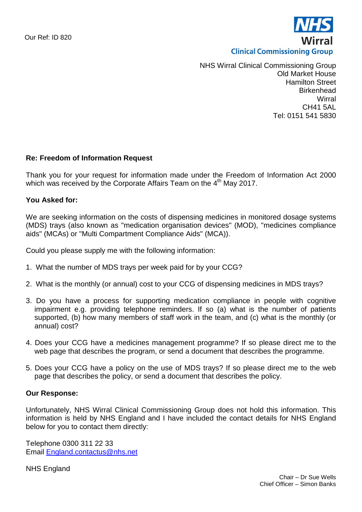

NHS Wirral Clinical Commissioning Group Old Market House Hamilton Street **Birkenhead Wirral** CH41 5AL Tel: 0151 541 5830

## **Re: Freedom of Information Request**

Thank you for your request for information made under the Freedom of Information Act 2000 which was received by the Corporate Affairs Team on the 4<sup>th</sup> May 2017.

## **You Asked for:**

We are seeking information on the costs of dispensing medicines in monitored dosage systems (MDS) trays (also known as "medication organisation devices" (MOD), "medicines compliance aids" (MCAs) or "Multi Compartment Compliance Aids" (MCA)).

Could you please supply me with the following information:

- 1. What the number of MDS trays per week paid for by your CCG?
- 2. What is the monthly (or annual) cost to your CCG of dispensing medicines in MDS trays?
- 3. Do you have a process for supporting medication compliance in people with cognitive impairment e.g. providing telephone reminders. If so (a) what is the number of patients supported, (b) how many members of staff work in the team, and (c) what is the monthly (or annual) cost?
- 4. Does your CCG have a medicines management programme? If so please direct me to the web page that describes the program, or send a document that describes the programme.
- 5. Does your CCG have a policy on the use of MDS trays? If so please direct me to the web page that describes the policy, or send a document that describes the policy.

## **Our Response:**

Unfortunately, NHS Wirral Clinical Commissioning Group does not hold this information. This information is held by NHS England and I have included the contact details for NHS England below for you to contact them directly:

Telephone 0300 311 22 33 Email [England.contactus@nhs.net](mailto:England.contactus@nhs.net)

NHS England